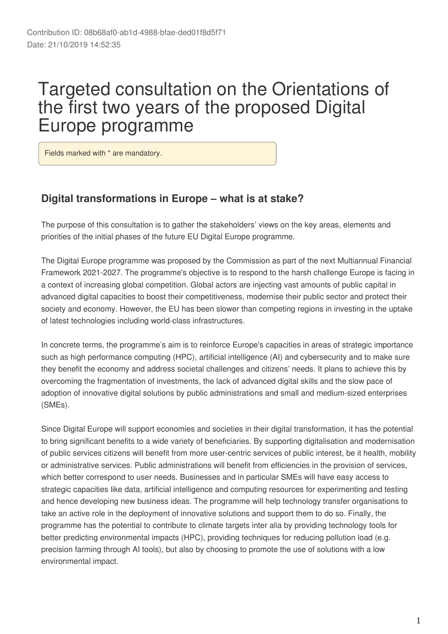# Targeted consultation on the Orientations of the first two years of the proposed Digital Europe programme

Fields marked with \* are mandatory.

### **Digital transformations in Europe – what is at stake?**

The purpose of this consultation is to gather the stakeholders' views on the key areas, elements and priorities of the initial phases of the future EU Digital Europe programme.

The Digital Europe programme was proposed by the Commission as part of the next Multiannual Financial Framework 2021-2027. The programme's objective is to respond to the harsh challenge Europe is facing in a context of increasing global competition. Global actors are injecting vast amounts of public capital in advanced digital capacities to boost their competitiveness, modernise their public sector and protect their society and economy. However, the EU has been slower than competing regions in investing in the uptake of latest technologies including world-class infrastructures.

In concrete terms, the programme's aim is to reinforce Europe's capacities in areas of strategic importance such as high performance computing (HPC), artificial intelligence (AI) and cybersecurity and to make sure they benefit the economy and address societal challenges and citizens' needs. It plans to achieve this by overcoming the fragmentation of investments, the lack of advanced digital skills and the slow pace of adoption of innovative digital solutions by public administrations and small and medium-sized enterprises (SMEs).

Since Digital Europe will support economies and societies in their digital transformation, it has the potential to bring significant benefits to a wide variety of beneficiaries. By supporting digitalisation and modernisation of public services citizens will benefit from more user-centric services of public interest, be it health, mobility or administrative services. Public administrations will benefit from efficiencies in the provision of services, which better correspond to user needs. Businesses and in particular SMEs will have easy access to strategic capacities like data, artificial intelligence and computing resources for experimenting and testing and hence developing new business ideas. The programme will help technology transfer organisations to take an active role in the deployment of innovative solutions and support them to do so. Finally, the programme has the potential to contribute to climate targets inter alia by providing technology tools for better predicting environmental impacts (HPC), providing techniques for reducing pollution load (e.g. precision farming through AI tools), but also by choosing to promote the use of solutions with a low environmental impact.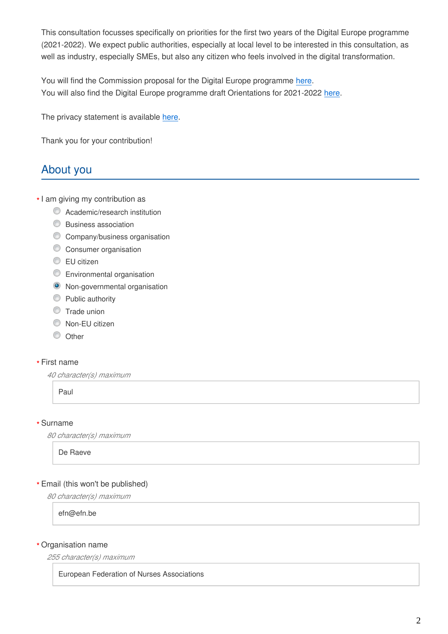This consultation focusses specifically on priorities for the first two years of the Digital Europe programme (2021-2022). We expect public authorities, especially at local level to be interested in this consultation, as well as industry, especially SMEs, but also any citizen who feels involved in the digital transformation.

You will find the Commission proposal for the Digital Europe programme [here](https://eur-lex.europa.eu/legal-content/EN/TXT/?uri=COM%3A2018%3A434%3AFIN). You will also find the Digital Europe programme draft Orientations for 2021-2022 [here.](https://ec.europa.eu/newsroom/dae/document.cfm?doc_id=61102)

The privacy statement is available [here.](https://ec.europa.eu/newsroom/dae/document.cfm?doc_id=61533)

Thank you for your contribution!

# About you

- I am giving my contribution as **\***
	- **C** Academic/research institution
	- Business association
	- C Company/business organisation
	- Consumer organisation
	- **EU** citizen
	- **Environmental organisation**
	- <sup>O</sup> Non-governmental organisation
	- **Public authority**
	- **Trade union**
	- Non-EU citizen
	- O Other

### First name **\***

*40 character(s) maximum*

Paul

#### Surname **\***

*80 character(s) maximum*

De Raeve

### Email (this won't be published) **\***

*80 character(s) maximum*

efn@efn.be

#### Organisation name **\***

*255 character(s) maximum*

#### European Federation of Nurses Associations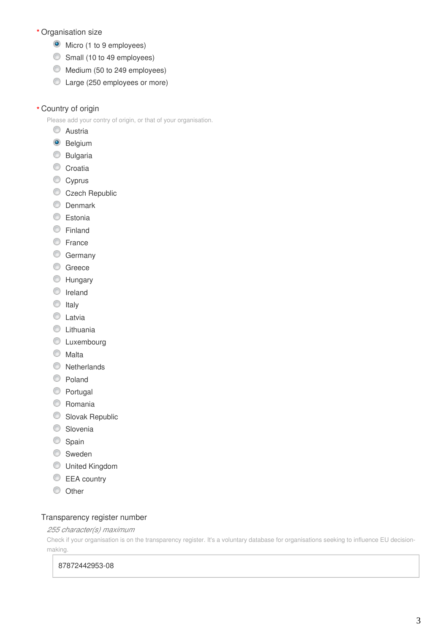- Organisation size **\***
	- **O** Micro (1 to 9 employees)
	- Small (10 to 49 employees)
	- Medium (50 to 249 employees)
	- Large (250 employees or more)
- Country of origin **\***

Please add your contry of origin, or that of your organisation.

- C Austria
- <sup>O</sup> Belgium
- Bulgaria
- Croatia
- Cyprus
- Czech Republic
- **Denmark**
- **Estonia**
- **Einland**
- **E**rance
- **Germany**
- C Greece
- **Hungary**
- **O** Ireland
- $\circ$  Italy
- **C** Latvia
- **C** Lithuania
- **C** Luxembourg
- **Malta**
- **Netherlands**
- C Poland
- **Portugal**
- C Romania
- Slovak Republic
- **Slovenia**
- Spain
- **Sweden**
- United Kingdom
- EEA country
- $\circledcirc$  Other

#### Transparency register number

#### *255 character(s) maximum*

Check if your organisation is on the transparency register. It's a voluntary database for organisations seeking to influence EU decisionmaking.

#### 87872442953-08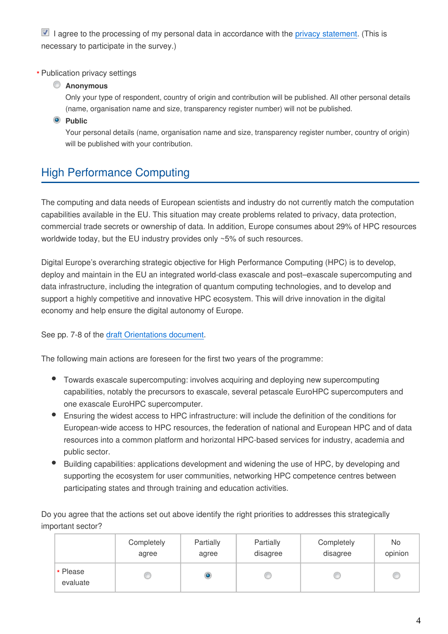$\blacksquare$  I agree to the processing of my personal data in accordance with the [privacy statement.](https://ec.europa.eu/newsroom/dae/document.cfm?doc_id=61533) (This is necessary to participate in the survey.)

### Publication privacy settings **\***

### **Anonymous**

Only your type of respondent, country of origin and contribution will be published. All other personal details (name, organisation name and size, transparency register number) will not be published.

### **Public**

Your personal details (name, organisation name and size, transparency register number, country of origin) will be published with your contribution.

# High Performance Computing

The computing and data needs of European scientists and industry do not currently match the computation capabilities available in the EU. This situation may create problems related to privacy, data protection, commercial trade secrets or ownership of data. In addition, Europe consumes about 29% of HPC resources worldwide today, but the EU industry provides only ~5% of such resources.

Digital Europe's overarching strategic objective for High Performance Computing (HPC) is to develop, deploy and maintain in the EU an integrated world-class exascale and post–exascale supercomputing and data infrastructure, including the integration of quantum computing technologies, and to develop and support a highly competitive and innovative HPC ecosystem. This will drive innovation in the digital economy and help ensure the digital autonomy of Europe.

See pp. 7-8 of the [draft Orientations document.](https://ec.europa.eu/newsroom/dae/document.cfm?doc_id=61102)

The following main actions are foreseen for the first two years of the programme:

- Towards exascale supercomputing: involves acquiring and deploying new supercomputing capabilities, notably the precursors to exascale, several petascale EuroHPC supercomputers and one exascale EuroHPC supercomputer.
- Ensuring the widest access to HPC infrastructure: will include the definition of the conditions for European-wide access to HPC resources, the federation of national and European HPC and of data resources into a common platform and horizontal HPC-based services for industry, academia and public sector.
- Building capabilities: applications development and widening the use of HPC, by developing and supporting the ecosystem for user communities, networking HPC competence centres between participating states and through training and education activities.

Do you agree that the actions set out above identify the right priorities to addresses this strategically important sector?

|                      | Completely | Partially | Partially | Completely | No      |
|----------------------|------------|-----------|-----------|------------|---------|
|                      | agree      | agree     | disagree  | disagree   | opinion |
| * Please<br>evaluate |            |           |           |            | C       |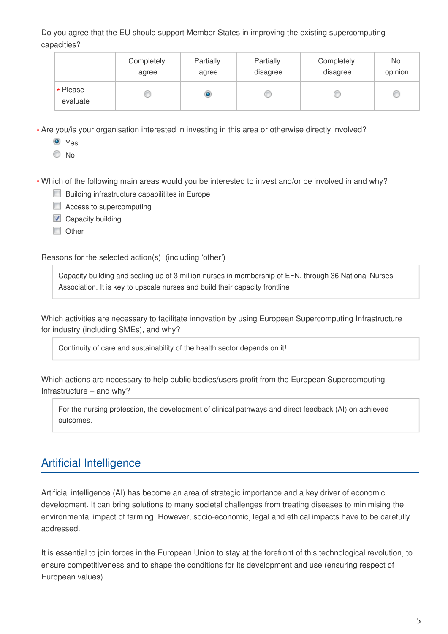Do you agree that the EU should support Member States in improving the existing supercomputing capacities?

|                      | Completely | Partially | Partially | Completely | No      |
|----------------------|------------|-----------|-----------|------------|---------|
|                      | agree      | agree     | disagree  | disagree   | opinion |
| * Please<br>evaluate |            | ۱         |           |            | C       |

Are you/is your organisation interested in investing in this area or otherwise directly involved? **\***

Yes

 $\odot$  No.

Which of the following main areas would you be interested to invest and/or be involved in and why? **\***

- **Building infrastructure capabilitites in Europe**
- **E** Access to supercomputing
- $\Box$  Capacity building
- **Other**

Reasons for the selected action(s) (including 'other')

Capacity building and scaling up of 3 million nurses in membership of EFN, through 36 National Nurses Association. It is key to upscale nurses and build their capacity frontline

Which activities are necessary to facilitate innovation by using European Supercomputing Infrastructure for industry (including SMEs), and why?

Continuity of care and sustainability of the health sector depends on it!

Which actions are necessary to help public bodies/users profit from the European Supercomputing Infrastructure – and why?

For the nursing profession, the development of clinical pathways and direct feedback (AI) on achieved outcomes.

# Artificial Intelligence

Artificial intelligence (AI) has become an area of strategic importance and a key driver of economic development. It can bring solutions to many societal challenges from treating diseases to minimising the environmental impact of farming. However, socio-economic, legal and ethical impacts have to be carefully addressed.

It is essential to join forces in the European Union to stay at the forefront of this technological revolution, to ensure competitiveness and to shape the conditions for its development and use (ensuring respect of European values).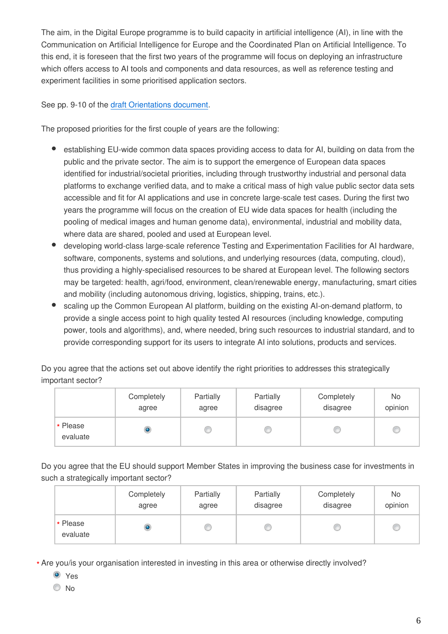The aim, in the Digital Europe programme is to build capacity in artificial intelligence (AI), in line with the Communication on Artificial Intelligence for Europe and the Coordinated Plan on Artificial Intelligence. To this end, it is foreseen that the first two years of the programme will focus on deploying an infrastructure which offers access to AI tools and components and data resources, as well as reference testing and experiment facilities in some prioritised application sectors.

### See pp. 9-10 of the [draft Orientations document.](https://ec.europa.eu/newsroom/dae/document.cfm?doc_id=61102)

The proposed priorities for the first couple of years are the following:

- establishing EU-wide common data spaces providing access to data for AI, building on data from the public and the private sector. The aim is to support the emergence of European data spaces identified for industrial/societal priorities, including through trustworthy industrial and personal data platforms to exchange verified data, and to make a critical mass of high value public sector data sets accessible and fit for AI applications and use in concrete large-scale test cases. During the first two years the programme will focus on the creation of EU wide data spaces for health (including the pooling of medical images and human genome data), environmental, industrial and mobility data, where data are shared, pooled and used at European level.
- developing world-class large-scale reference Testing and Experimentation Facilities for AI hardware, software, components, systems and solutions, and underlying resources (data, computing, cloud), thus providing a highly-specialised resources to be shared at European level. The following sectors may be targeted: health, agri/food, environment, clean/renewable energy, manufacturing, smart cities and mobility (including autonomous driving, logistics, shipping, trains, etc.).
- scaling up the Common European AI platform, building on the existing AI-on-demand platform, to provide a single access point to high quality tested AI resources (including knowledge, computing power, tools and algorithms), and, where needed, bring such resources to industrial standard, and to provide corresponding support for its users to integrate AI into solutions, products and services.

Do you agree that the actions set out above identify the right priorities to addresses this strategically important sector?

|                      | Completely | Partially | Partially | Completely | No      |
|----------------------|------------|-----------|-----------|------------|---------|
|                      | agree      | agree     | disagree  | disagree   | opinion |
| * Please<br>evaluate |            |           |           |            | c       |

Do you agree that the EU should support Member States in improving the business case for investments in such a strategically important sector?

|                      | Completely | Partially | Partially | Completely | No      |
|----------------------|------------|-----------|-----------|------------|---------|
|                      | agree      | agree     | disagree  | disagree   | opinion |
| * Please<br>evaluate |            |           |           |            | c       |

Are you/is your organisation interested in investing in this area or otherwise directly involved? **\***

- O Yes
- © No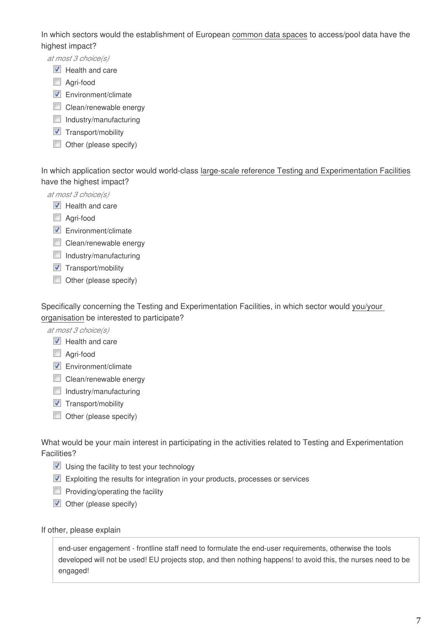In which sectors would the establishment of European common data spaces to access/pool data have the highest impact?

*at most 3 choice(s)*

- $\triangledown$  Health and care
- Agri-food
- **Environment/climate**
- **Clean/renewable energy**
- $\Box$  Industry/manufacturing
- $\blacksquare$  Transport/mobility
- $\Box$  Other (please specify)

In which application sector would world-class large-scale reference Testing and Experimentation Facilities have the highest impact?

*at most 3 choice(s)*

- $\triangledown$  Health and care
- Agri-food
- $\nabla$  Environment/climate
- **Clean/renewable energy**
- $\Box$  Industry/manufacturing
- $\blacksquare$  Transport/mobility
- $\Box$  Other (please specify)

Specifically concerning the Testing and Experimentation Facilities, in which sector would you/your organisation be interested to participate?

*at most 3 choice(s)*

- $\blacksquare$  Health and care
- Agri-food
- **Environment/climate**
- Clean/renewable energy
- $\Box$  Industry/manufacturing
- $\blacksquare$  Transport/mobility
- Other (please specify)

What would be your main interest in participating in the activities related to Testing and Experimentation Facilities?

- $\blacksquare$  Using the facility to test your technology
- Exploiting the results for integration in your products, processes or services
- $\Box$  Providing/operating the facility
- $\triangledown$  Other (please specify)

#### If other, please explain

end-user engagement - frontline staff need to formulate the end-user requirements, otherwise the tools developed will not be used! EU projects stop, and then nothing happens! to avoid this, the nurses need to be engaged!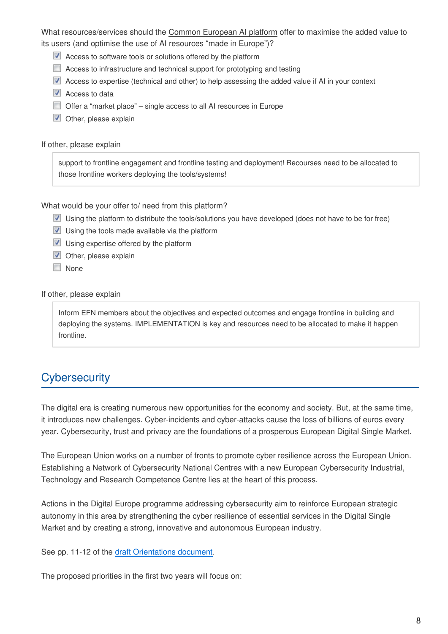What resources/services should the Common European AI platform offer to maximise the added value to its users (and optimise the use of AI resources "made in Europe")?

- Access to software tools or solutions offered by the platform
- **E** Access to infrastructure and technical support for prototyping and testing
- Access to expertise (technical and other) to help assessing the added value if AI in your context
- $\blacksquare$  Access to data
- Offer a "market place" single access to all AI resources in Europe
- $\blacksquare$  Other, please explain

If other, please explain

support to frontline engagement and frontline testing and deployment! Recourses need to be allocated to those frontline workers deploying the tools/systems!

What would be your offer to/ need from this platform?

- Using the platform to distribute the tools/solutions you have developed (does not have to be for free)
- $\blacksquare$  Using the tools made available via the platform
- $\triangledown$  Using expertise offered by the platform
- $\triangledown$  Other, please explain
- **None**

If other, please explain

Inform EFN members about the objectives and expected outcomes and engage frontline in building and deploying the systems. IMPLEMENTATION is key and resources need to be allocated to make it happen frontline.

### **Cybersecurity**

The digital era is creating numerous new opportunities for the economy and society. But, at the same time, it introduces new challenges. Cyber-incidents and cyber-attacks cause the loss of billions of euros every year. Cybersecurity, trust and privacy are the foundations of a prosperous European Digital Single Market.

The European Union works on a number of fronts to promote cyber resilience across the European Union. Establishing a Network of Cybersecurity National Centres with a new European Cybersecurity Industrial, Technology and Research Competence Centre lies at the heart of this process.

Actions in the Digital Europe programme addressing cybersecurity aim to reinforce European strategic autonomy in this area by strengthening the cyber resilience of essential services in the Digital Single Market and by creating a strong, innovative and autonomous European industry.

See pp. 11-12 of the [draft Orientations document.](https://ec.europa.eu/newsroom/dae/document.cfm?doc_id=61102)

The proposed priorities in the first two years will focus on: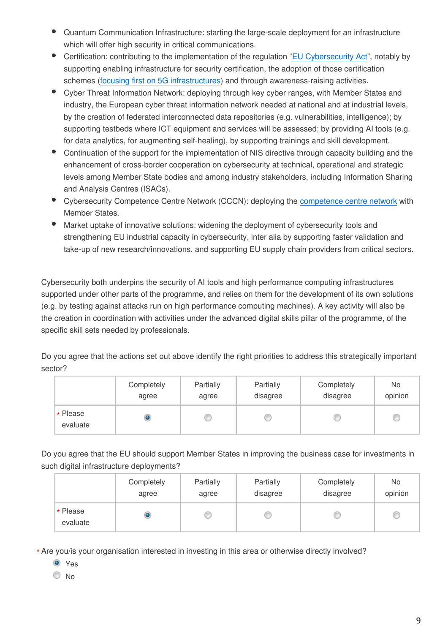- Quantum Communication Infrastructure: starting the large-scale deployment for an infrastructure which will offer high security in critical communications.
- Certification: contributing to the implementation of the regulation ["EU Cybersecurity Act](https://eur-lex.europa.eu/eli/reg/2019/881/oj)", notably by supporting enabling infrastructure for security certification, the adoption of those certification schemes [\(focusing first on 5G infrastructures](https://www.droit-technologie.org/wp-content/uploads/2019/03/reco.pdf)) and through awareness-raising activities.
- Cyber Threat Information Network: deploying through key cyber ranges, with Member States and industry, the European cyber threat information network needed at national and at industrial levels, by the creation of federated interconnected data repositories (e.g. vulnerabilities, intelligence); by supporting testbeds where ICT equipment and services will be assessed; by providing AI tools (e.g. for data analytics, for augmenting self-healing), by supporting trainings and skill development.
- Continuation of the support for the implementation of NIS directive through capacity building and the enhancement of cross-border cooperation on cybersecurity at technical, operational and strategic levels among Member State bodies and among industry stakeholders, including Information Sharing and Analysis Centres (ISACs).
- $\bullet$ Cybersecurity Competence Centre Network (CCCN): deploying the [competence centre network](https://ec.europa.eu/commission/sites/beta-political/files/soteu2018-cybersecurity-centres-regulation-630_en.pdf) with Member States.
- Market uptake of innovative solutions: widening the deployment of cybersecurity tools and strengthening EU industrial capacity in cybersecurity, inter alia by supporting faster validation and take-up of new research/innovations, and supporting EU supply chain providers from critical sectors.

Cybersecurity both underpins the security of AI tools and high performance computing infrastructures supported under other parts of the programme, and relies on them for the development of its own solutions (e.g. by testing against attacks run on high performance computing machines). A key activity will also be the creation in coordination with activities under the advanced digital skills pillar of the programme, of the specific skill sets needed by professionals.

Do you agree that the actions set out above identify the right priorities to address this strategically important sector?

|                      | Completely | Partially | Partially | Completely | No      |
|----------------------|------------|-----------|-----------|------------|---------|
|                      | agree      | agree     | disagree  | disagree   | opinion |
| * Please<br>evaluate |            |           | w         |            | C       |

Do you agree that the EU should support Member States in improving the business case for investments in such digital infrastructure deployments?

|                      | Completely | Partially | Partially | Completely | No      |
|----------------------|------------|-----------|-----------|------------|---------|
|                      | agree      | agree     | disagree  | disagree   | opinion |
| * Please<br>evaluate |            |           |           |            | C       |

Are you/is your organisation interested in investing in this area or otherwise directly involved? **\***

- **O** Yes
- No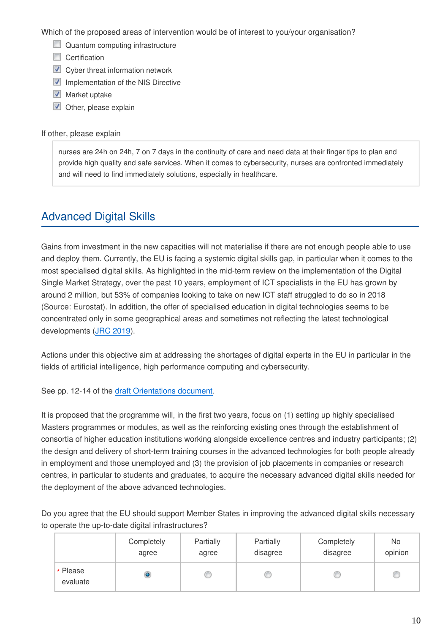Which of the proposed areas of intervention would be of interest to you/your organisation?

- Quantum computing infrastructure
- Certification
- **V** Cyber threat information network
- $\blacksquare$  Implementation of the NIS Directive
- $\blacksquare$  Market uptake
- **V** Other, please explain

#### If other, please explain

nurses are 24h on 24h, 7 on 7 days in the continuity of care and need data at their finger tips to plan and provide high quality and safe services. When it comes to cybersecurity, nurses are confronted immediately and will need to find immediately solutions, especially in healthcare.

## Advanced Digital Skills

Gains from investment in the new capacities will not materialise if there are not enough people able to use and deploy them. Currently, the EU is facing a systemic digital skills gap, in particular when it comes to the most specialised digital skills. As highlighted in the mid-term review on the implementation of the Digital Single Market Strategy, over the past 10 years, employment of ICT specialists in the EU has grown by around 2 million, but 53% of companies looking to take on new ICT staff struggled to do so in 2018 (Source: Eurostat). In addition, the offer of specialised education in digital technologies seems to be concentrated only in some geographical areas and sometimes not reflecting the latest technological developments ([JRC 2019](https://publications.europa.eu/en/publication-detail/-/publication/5804d5e5-4b8b-11e9-a8ed-01aa75ed71a1/language-en/format-PDF/source-96616385)).

Actions under this objective aim at addressing the shortages of digital experts in the EU in particular in the fields of artificial intelligence, high performance computing and cybersecurity.

See pp. 12-14 of the [draft Orientations document.](https://ec.europa.eu/newsroom/dae/document.cfm?doc_id=61102)

It is proposed that the programme will, in the first two years, focus on (1) setting up highly specialised Masters programmes or modules, as well as the reinforcing existing ones through the establishment of consortia of higher education institutions working alongside excellence centres and industry participants; (2) the design and delivery of short-term training courses in the advanced technologies for both people already in employment and those unemployed and (3) the provision of job placements in companies or research centres, in particular to students and graduates, to acquire the necessary advanced digital skills needed for the deployment of the above advanced technologies.

Do you agree that the EU should support Member States in improving the advanced digital skills necessary to operate the up-to-date digital infrastructures?

|                      | Completely | Partially | Partially | Completely | No.     |
|----------------------|------------|-----------|-----------|------------|---------|
|                      | agree      | agree     | disagree  | disagree   | opinion |
| * Please<br>evaluate |            |           |           |            | c       |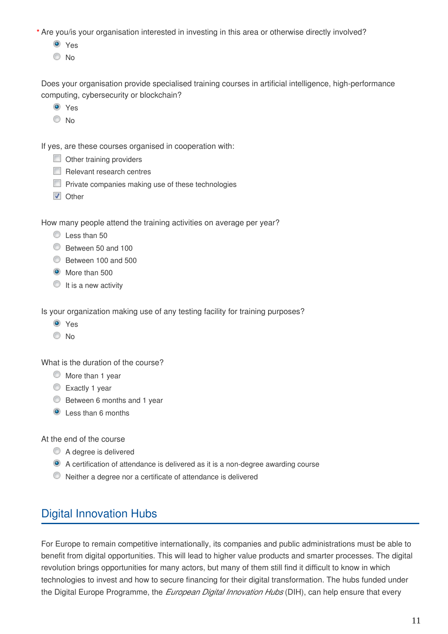Are you/is your organisation interested in investing in this area or otherwise directly involved? **\***

Yes

© No

Does your organisation provide specialised training courses in artificial intelligence, high-performance computing, cybersecurity or blockchain?

- **O** Yes
- O No

If yes, are these courses organised in cooperation with:

- Other training providers
- Relevant research centres
- **Private companies making use of these technologies**
- **V** Other

How many people attend the training activities on average per year?

- C Less than 50
- Between 50 and 100
- Between 100 and 500
- $\bullet$  More than 500
- $\circ$  It is a new activity

Is your organization making use of any testing facility for training purposes?

- **O** Yes
- $\odot$  No

What is the duration of the course?

- $\circledcirc$  More than 1 year
- Exactly 1 year
- **Between 6 months and 1 year**
- **Q** Less than 6 months

At the end of the course

- A degree is delivered
- A certification of attendance is delivered as it is a non-degree awarding course
- Neither a degree nor a certificate of attendance is delivered

### Digital Innovation Hubs

For Europe to remain competitive internationally, its companies and public administrations must be able to benefit from digital opportunities. This will lead to higher value products and smarter processes. The digital revolution brings opportunities for many actors, but many of them still find it difficult to know in which technologies to invest and how to secure financing for their digital transformation. The hubs funded under the Digital Europe Programme, the *European Digital Innovation Hubs* (DIH), can help ensure that every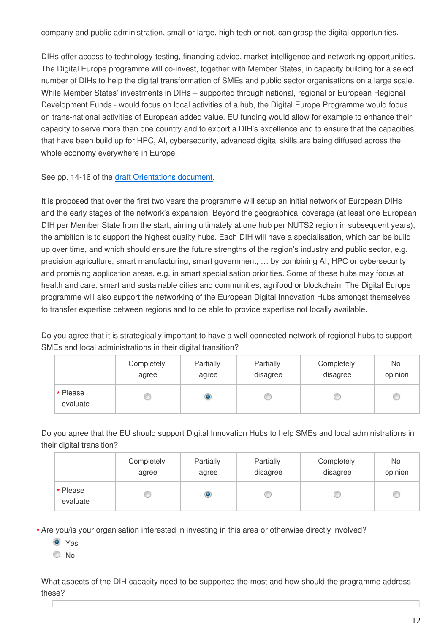company and public administration, small or large, high-tech or not, can grasp the digital opportunities.

DIHs offer access to technology-testing, financing advice, market intelligence and networking opportunities. The Digital Europe programme will co-invest, together with Member States, in capacity building for a select number of DIHs to help the digital transformation of SMEs and public sector organisations on a large scale. While Member States' investments in DIHs – supported through national, regional or European Regional Development Funds - would focus on local activities of a hub, the Digital Europe Programme would focus on trans-national activities of European added value. EU funding would allow for example to enhance their capacity to serve more than one country and to export a DIH's excellence and to ensure that the capacities that have been build up for HPC, AI, cybersecurity, advanced digital skills are being diffused across the whole economy everywhere in Europe.

See pp. 14-16 of the [draft Orientations document.](https://ec.europa.eu/newsroom/dae/document.cfm?doc_id=61102)

It is proposed that over the first two years the programme will setup an initial network of European DIHs and the early stages of the network's expansion. Beyond the geographical coverage (at least one European DIH per Member State from the start, aiming ultimately at one hub per NUTS2 region in subsequent years), the ambition is to support the highest quality hubs. Each DIH will have a specialisation, which can be build up over time, and which should ensure the future strengths of the region's industry and public sector, e.g. precision agriculture, smart manufacturing, smart government, … by combining AI, HPC or cybersecurity and promising application areas, e.g. in smart specialisation priorities. Some of these hubs may focus at health and care, smart and sustainable cities and communities, agrifood or blockchain. The Digital Europe programme will also support the networking of the European Digital Innovation Hubs amongst themselves to transfer expertise between regions and to be able to provide expertise not locally available.

Do you agree that it is strategically important to have a well-connected network of regional hubs to support SMEs and local administrations in their digital transition?

|                      | Completely | Partially | Partially | Completely | No      |
|----------------------|------------|-----------|-----------|------------|---------|
|                      | agree      | agree     | disagree  | disagree   | opinion |
| * Please<br>evaluate |            |           |           |            | C       |

Do you agree that the EU should support Digital Innovation Hubs to help SMEs and local administrations in their digital transition?

|                      | Completely | Partially | Partially | Completely | No      |
|----------------------|------------|-----------|-----------|------------|---------|
|                      | agree      | agree     | disagree  | disagree   | opinion |
| * Please<br>evaluate |            |           |           |            | C       |

Are you/is your organisation interested in investing in this area or otherwise directly involved? **\***

- **O** Yes
- $\odot$  No

What aspects of the DIH capacity need to be supported the most and how should the programme address these?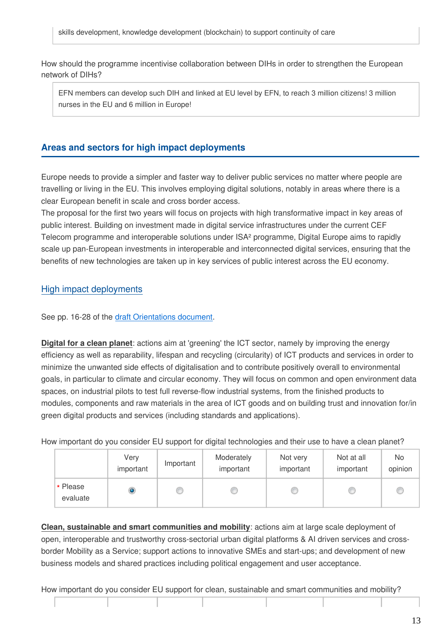How should the programme incentivise collaboration between DIHs in order to strengthen the European network of DIHs?

EFN members can develop such DIH and linked at EU level by EFN, to reach 3 million citizens! 3 million nurses in the EU and 6 million in Europe!

### **Areas and sectors for high impact deployments**

Europe needs to provide a simpler and faster way to deliver public services no matter where people are travelling or living in the EU. This involves employing digital solutions, notably in areas where there is a clear European benefit in scale and cross border access.

The proposal for the first two years will focus on projects with high transformative impact in key areas of public interest. Building on investment made in digital service infrastructures under the current CEF Telecom programme and interoperable solutions under ISA² programme, Digital Europe aims to rapidly scale up pan-European investments in interoperable and interconnected digital services, ensuring that the benefits of new technologies are taken up in key services of public interest across the EU economy.

### High impact deployments

See pp. 16-28 of the [draft Orientations document.](https://ec.europa.eu/newsroom/dae/document.cfm?doc_id=61102)

**Digital for a clean planet**: actions aim at 'greening' the ICT sector, namely by improving the energy efficiency as well as reparability, lifespan and recycling (circularity) of ICT products and services in order to minimize the unwanted side effects of digitalisation and to contribute positively overall to environmental goals, in particular to climate and circular economy. They will focus on common and open environment data spaces, on industrial pilots to test full reverse-flow industrial systems, from the finished products to modules, components and raw materials in the area of ICT goods and on building trust and innovation for/in green digital products and services (including standards and applications).

How important do you consider EU support for digital technologies and their use to have a clean planet?

|                      | Very<br>important | Important | Moderately<br>important | Not very<br>important | Not at all<br>important | No.<br>opinion |
|----------------------|-------------------|-----------|-------------------------|-----------------------|-------------------------|----------------|
| * Please<br>evaluate | O                 |           |                         |                       |                         |                |

**Clean, sustainable and smart communities and mobility**: actions aim at large scale deployment of open, interoperable and trustworthy cross-sectorial urban digital platforms & AI driven services and crossborder Mobility as a Service; support actions to innovative SMEs and start-ups; and development of new business models and shared practices including political engagement and user acceptance.

How important do you consider EU support for clean, sustainable and smart communities and mobility?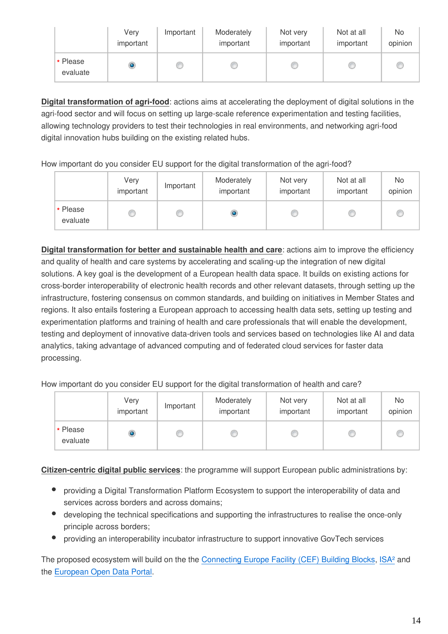|                      | Very<br>important | Important | Moderately<br>important | Not very<br>important | Not at all<br>important | No<br>opinion |
|----------------------|-------------------|-----------|-------------------------|-----------------------|-------------------------|---------------|
| * Please<br>evaluate | ۱                 |           |                         |                       |                         | Œ             |

**Digital transformation of agri-food**: actions aims at accelerating the deployment of digital solutions in the agri-food sector and will focus on setting up large-scale reference experimentation and testing facilities, allowing technology providers to test their technologies in real environments, and networking agri-food digital innovation hubs building on the existing related hubs.

How important do you consider EU support for the digital transformation of the agri-food?

|                      | Very<br>important | Important | Moderately<br>important | Not very<br>important | Not at all<br>important | No<br>opinion |
|----------------------|-------------------|-----------|-------------------------|-----------------------|-------------------------|---------------|
| * Please<br>evaluate |                   |           |                         |                       |                         |               |

**Digital transformation for better and sustainable health and care**: actions aim to improve the efficiency and quality of health and care systems by accelerating and scaling-up the integration of new digital solutions. A key goal is the development of a European health data space. It builds on existing actions for cross-border interoperability of electronic health records and other relevant datasets, through setting up the infrastructure, fostering consensus on common standards, and building on initiatives in Member States and regions. It also entails fostering a European approach to accessing health data sets, setting up testing and experimentation platforms and training of health and care professionals that will enable the development, testing and deployment of innovative data-driven tools and services based on technologies like AI and data analytics, taking advantage of advanced computing and of federated cloud services for faster data processing.

How important do you consider EU support for the digital transformation of health and care?

|                      | Very<br>important | Important | Moderately<br>important | Not very<br>important | Not at all<br>important | No<br>opinion |
|----------------------|-------------------|-----------|-------------------------|-----------------------|-------------------------|---------------|
| * Please<br>evaluate | ۱                 |           |                         |                       |                         |               |

**Citizen-centric digital public services**: the programme will support European public administrations by:

- providing a Digital Transformation Platform Ecosystem to support the interoperability of data and services across borders and across domains;
- developing the technical specifications and supporting the infrastructures to realise the once-only principle across borders;
- providing an interoperability incubator infrastructure to support innovative GovTech services

The proposed ecosystem will build on the the [Connecting Europe Facility \(CEF\) Building Blocks,](https://ec.europa.eu/cefdigital/wiki/display/CEFDIGITAL/Building+Blocks) ISA<sup>2</sup> and the [European Open Data Portal.](https://data.europa.eu/euodp/en/home)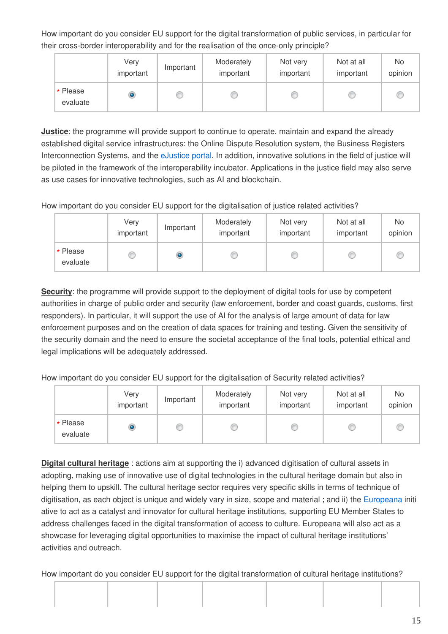How important do you consider EU support for the digital transformation of public services, in particular for their cross-border interoperability and for the realisation of the once-only principle?

|                      | Very<br>important | Important | Moderately<br>important | Not very<br>important | Not at all<br>important | No.<br>opinion |
|----------------------|-------------------|-----------|-------------------------|-----------------------|-------------------------|----------------|
| * Please<br>evaluate | ۱                 |           |                         |                       |                         |                |

**Justice**: the programme will provide support to continue to operate, maintain and expand the already established digital service infrastructures: the Online Dispute Resolution system, the Business Registers Interconnection Systems, and the [eJustice portal](https://e-justice.europa.eu/home.do?action=home&plang=en). In addition, innovative solutions in the field of justice will be piloted in the framework of the interoperability incubator. Applications in the justice field may also serve as use cases for innovative technologies, such as AI and blockchain.

How important do you consider EU support for the digitalisation of justice related activities?

|                      | Very<br>important | Important | Moderately<br>important | Not very<br>important | Not at all<br>important | No<br>opinion |
|----------------------|-------------------|-----------|-------------------------|-----------------------|-------------------------|---------------|
| * Please<br>evaluate |                   | ۱         |                         |                       |                         |               |

**Security**: the programme will provide support to the deployment of digital tools for use by competent authorities in charge of public order and security (law enforcement, border and coast guards, customs, first responders). In particular, it will support the use of AI for the analysis of large amount of data for law enforcement purposes and on the creation of data spaces for training and testing. Given the sensitivity of the security domain and the need to ensure the societal acceptance of the final tools, potential ethical and legal implications will be adequately addressed.

How important do you consider EU support for the digitalisation of Security related activities?

|                      | Very<br>important | Important | Moderately<br>important | Not very<br>important | Not at all<br>important | No<br>opinion |
|----------------------|-------------------|-----------|-------------------------|-----------------------|-------------------------|---------------|
| * Please<br>evaluate | ۱                 |           |                         |                       |                         |               |

**Digital cultural heritage** : actions aim at supporting the i) advanced digitisation of cultural assets in adopting, making use of innovative use of digital technologies in the cultural heritage domain but also in helping them to upskill. The cultural heritage sector requires very specific skills in terms of technique of digitisation, as each object is unique and widely vary in size, scope and material ; and ii) the [Europeana i](https://www.europeana.eu)niti ative to act as a catalyst and innovator for cultural heritage institutions, supporting EU Member States to address challenges faced in the digital transformation of access to culture. Europeana will also act as a showcase for leveraging digital opportunities to maximise the impact of cultural heritage institutions' activities and outreach.

How important do you consider EU support for the digital transformation of cultural heritage institutions?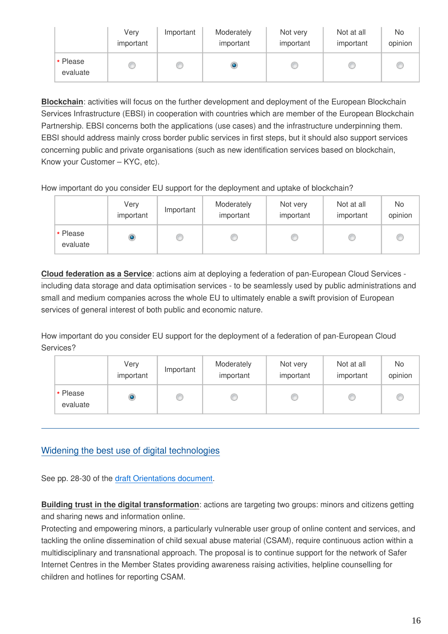|                      | Very<br>important | Important | Moderately<br>important | Not very<br>important | Not at all<br>important | No<br>opinion |
|----------------------|-------------------|-----------|-------------------------|-----------------------|-------------------------|---------------|
| * Please<br>evaluate |                   |           |                         |                       |                         |               |

**Blockchain**: activities will focus on the further development and deployment of the European Blockchain Services Infrastructure (EBSI) in cooperation with countries which are member of the European Blockchain Partnership. EBSI concerns both the applications (use cases) and the infrastructure underpinning them. EBSI should address mainly cross border public services in first steps, but it should also support services concerning public and private organisations (such as new identification services based on blockchain, Know your Customer – KYC, etc).

How important do you consider EU support for the deployment and uptake of blockchain?

|                      | Very<br>important | Important | Moderately<br>important | Not very<br>important | Not at all<br>important | No<br>opinion |
|----------------------|-------------------|-----------|-------------------------|-----------------------|-------------------------|---------------|
| r Please<br>evaluate | ۰                 |           |                         |                       |                         |               |

**Cloud federation as a Service**: actions aim at deploying a federation of pan-European Cloud Services including data storage and data optimisation services - to be seamlessly used by public administrations and small and medium companies across the whole EU to ultimately enable a swift provision of European services of general interest of both public and economic nature.

How important do you consider EU support for the deployment of a federation of pan-European Cloud Services?

|                      | Very<br>important | Important | Moderately<br>important | Not very<br>important | Not at all<br>important | No<br>opinion |
|----------------------|-------------------|-----------|-------------------------|-----------------------|-------------------------|---------------|
| * Please<br>evaluate | ۱                 |           |                         |                       |                         |               |

### Widening the best use of digital technologies

See pp. 28-30 of the [draft Orientations document.](https://ec.europa.eu/newsroom/dae/document.cfm?doc_id=61102)

**Building trust in the digital transformation**: actions are targeting two groups: minors and citizens getting and sharing news and information online.

Protecting and empowering minors, a particularly vulnerable user group of online content and services, and tackling the online dissemination of child sexual abuse material (CSAM), require continuous action within a multidisciplinary and transnational approach. The proposal is to continue support for the network of Safer Internet Centres in the Member States providing awareness raising activities, helpline counselling for children and hotlines for reporting CSAM.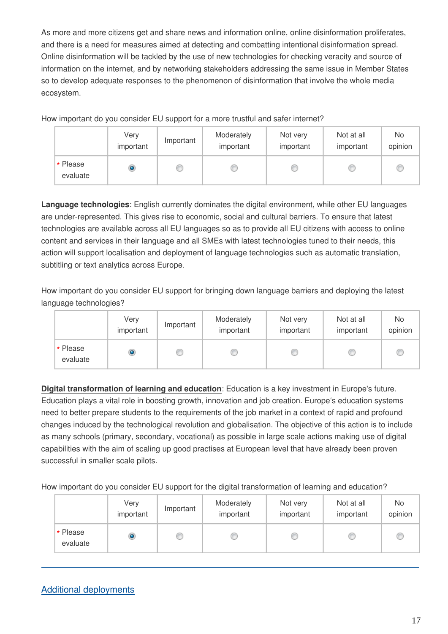As more and more citizens get and share news and information online, online disinformation proliferates, and there is a need for measures aimed at detecting and combatting intentional disinformation spread. Online disinformation will be tackled by the use of new technologies for checking veracity and source of information on the internet, and by networking stakeholders addressing the same issue in Member States so to develop adequate responses to the phenomenon of disinformation that involve the whole media ecosystem.

How important do you consider EU support for a more trustful and safer internet?

|                      | Very<br>important | Important | Moderately<br>important | Not very<br>important | Not at all<br>important | No<br>opinion |
|----------------------|-------------------|-----------|-------------------------|-----------------------|-------------------------|---------------|
| * Please<br>evaluate | O                 |           |                         |                       |                         | œ             |

**Language technologies**: English currently dominates the digital environment, while other EU languages are under-represented. This gives rise to economic, social and cultural barriers. To ensure that latest technologies are available across all EU languages so as to provide all EU citizens with access to online content and services in their language and all SMEs with latest technologies tuned to their needs, this action will support localisation and deployment of language technologies such as automatic translation, subtitling or text analytics across Europe.

How important do you consider EU support for bringing down language barriers and deploying the latest language technologies?

|                      | Very<br>important | Important | Moderately<br>important | Not very<br>important | Not at all<br>important | <b>No</b><br>opinion |
|----------------------|-------------------|-----------|-------------------------|-----------------------|-------------------------|----------------------|
| * Please<br>evaluate | ۱                 |           |                         |                       |                         |                      |

**Digital transformation of learning and education**: Education is a key investment in Europe's future. Education plays a vital role in boosting growth, innovation and job creation. Europe's education systems need to better prepare students to the requirements of the job market in a context of rapid and profound changes induced by the technological revolution and globalisation. The objective of this action is to include as many schools (primary, secondary, vocational) as possible in large scale actions making use of digital capabilities with the aim of scaling up good practises at European level that have already been proven successful in smaller scale pilots.

How important do you consider EU support for the digital transformation of learning and education?

|                      | Very<br>important | Important | Moderately<br>important | Not very<br>important | Not at all<br>important | No<br>opinion |
|----------------------|-------------------|-----------|-------------------------|-----------------------|-------------------------|---------------|
| * Please<br>evaluate | ۱                 |           |                         |                       |                         |               |

### Additional deployments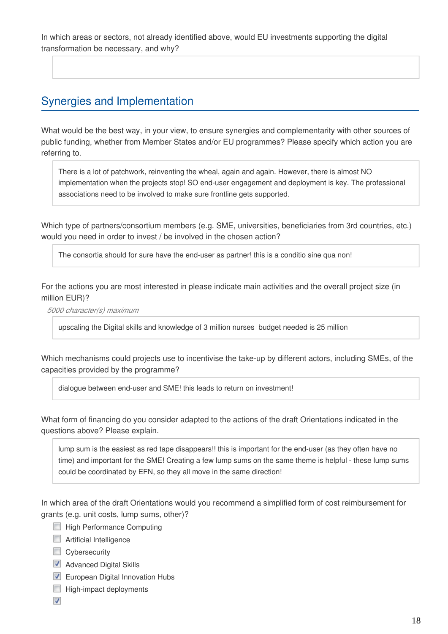In which areas or sectors, not already identified above, would EU investments supporting the digital transformation be necessary, and why?

### Synergies and Implementation

What would be the best way, in your view, to ensure synergies and complementarity with other sources of public funding, whether from Member States and/or EU programmes? Please specify which action you are referring to.

There is a lot of patchwork, reinventing the wheal, again and again. However, there is almost NO implementation when the projects stop! SO end-user engagement and deployment is key. The professional associations need to be involved to make sure frontline gets supported.

Which type of partners/consortium members (e.g. SME, universities, beneficiaries from 3rd countries, etc.) would you need in order to invest / be involved in the chosen action?

The consortia should for sure have the end-user as partner! this is a conditio sine qua non!

For the actions you are most interested in please indicate main activities and the overall project size (in million EUR)?

*5000 character(s) maximum*

upscaling the Digital skills and knowledge of 3 million nurses budget needed is 25 million

Which mechanisms could projects use to incentivise the take-up by different actors, including SMEs, of the capacities provided by the programme?

dialogue between end-user and SME! this leads to return on investment!

What form of financing do you consider adapted to the actions of the draft Orientations indicated in the questions above? Please explain.

lump sum is the easiest as red tape disappears!! this is important for the end-user (as they often have no time) and important for the SME! Creating a few lump sums on the same theme is helpful - these lump sums could be coordinated by EFN, so they all move in the same direction!

In which area of the draft Orientations would you recommend a simplified form of cost reimbursement for grants (e.g. unit costs, lump sums, other)?

- **High Performance Computing**
- **E** Artificial Intelligence
- Cybersecurity
- Advanced Digital Skills
- **European Digital Innovation Hubs**
- $\Box$  High-impact deployments
- $\overline{\mathbf{v}}$